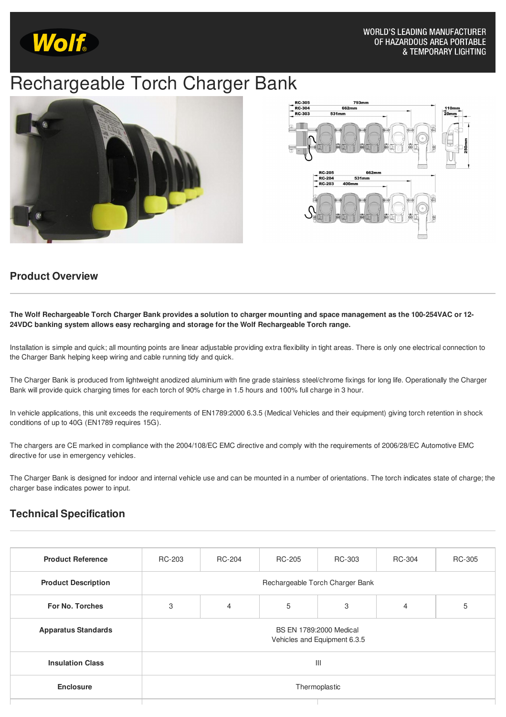

## Rechargeable Torch Charger Bank





## **Product Overview**

The Wolf Rechargeable Torch Charger Bank provides a solution to charger mounting and space management as the 100-254VAC or 12-**24VDC banking system allows easy recharging and storage for the Wolf Rechargeable Torch range.**

Installation is simple and quick; all mounting points are linear adjustable providing extra flexibility in tight areas. There is only one electrical connection to the Charger Bank helping keep wiring and cable running tidy and quick.

The Charger Bank is produced from lightweight anodized aluminium with fine grade stainless steel/chrome fixings for long life. Operationally the Charger Bank will provide quick charging times for each torch of 90% charge in 1.5 hours and 100% full charge in 3 hour.

In vehicle applications, this unit exceeds the requirements of EN1789:2000 6.3.5 (Medical Vehicles and their equipment) giving torch retention in shock conditions of up to 40G (EN1789 requires 15G).

The chargers are CE marked in compliance with the 2004/108/EC EMC directive and comply with the requirements of 2006/28/EC Automotive EMC directive for use in emergency vehicles.

The Charger Bank is designed for indoor and internal vehicle use and can be mounted in a number of orientations. The torch indicates state of charge; the charger base indicates power to input.

## **Technical Specification**

| <b>Product Reference</b>   | RC-203                                                  | RC-204 | RC-205 | RC-303 | RC-304         | RC-305 |  |  |  |
|----------------------------|---------------------------------------------------------|--------|--------|--------|----------------|--------|--|--|--|
| <b>Product Description</b> | Rechargeable Torch Charger Bank                         |        |        |        |                |        |  |  |  |
| <b>For No. Torches</b>     | 3                                                       | 4      | 5      | 3      | $\overline{4}$ | 5      |  |  |  |
| <b>Apparatus Standards</b> | BS EN 1789:2000 Medical<br>Vehicles and Equipment 6.3.5 |        |        |        |                |        |  |  |  |
| <b>Insulation Class</b>    | $\mathbf{III}$                                          |        |        |        |                |        |  |  |  |
| <b>Enclosure</b>           | Thermoplastic                                           |        |        |        |                |        |  |  |  |
|                            |                                                         |        |        |        |                |        |  |  |  |